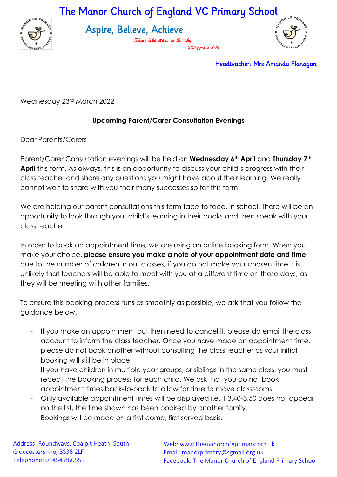The Manor Church of England VC Primary School



Aspire, Believe, Achieve

*Shine like stars in the sky Philippians 2:15*



Headteacher: Mrs Amanda Flanagan

Wednesday 23rd March 2022

## **Upcoming Parent/Carer Consultation Evenings**

Dear Parents/Carers

Parent/Carer Consultation evenings will be held on **Wednesday 6th April** and **Thursday 7th April** this term. As always, this is an opportunity to discuss your child's progress with their class teacher and share any questions you might have about their learning. We really cannot wait to share with you their many successes so far this term!

We are holding our parent consultations this term face-to face, in school. There will be an opportunity to look through your child's learning in their books and then speak with your class teacher.

In order to book an appointment time, we are using an online booking form. When you make your choice, **please ensure you make a note of your appointment date and time** – due to the number of children in our classes, if you do not make your chosen time it is unlikely that teachers will be able to meet with you at a different time on those days, as they will be meeting with other families.

To ensure this booking process runs as smoothly as possible, we ask that you follow the guidance below.

- If you make an appointment but then need to cancel it, please do email the class account to inform the class teacher. Once you have made an appointment time, please do not book another without consulting the class teacher as your initial booking will still be in place.
- If you have children in multiple year groups, or siblings in the same class, you must repeat the booking process for each child. We ask that you do not book appointment times back-to-back to allow for time to move classrooms.
- Only available appointment times will be displayed i.e. if 3.40-3.50 does not appear on the list, the time shown has been booked by another family.
- Bookings will be made on a first come, first served basis.

Address: Roundways, Coalpit Heath, South Gloucestershire, BS36 2LF Telephone: 01454 866555

Web: www.themanorcofeprimary.org.uk Email: manorprimary@sgmail.org.uk Facebook: The Manor Church of England Primary School